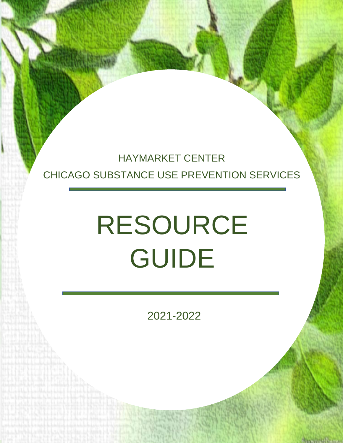## HAYMARKET CENTER CHICAGO SUBSTANCE USE PREVENTION SERVICES

# RESOURCE GUIDE

2021-2022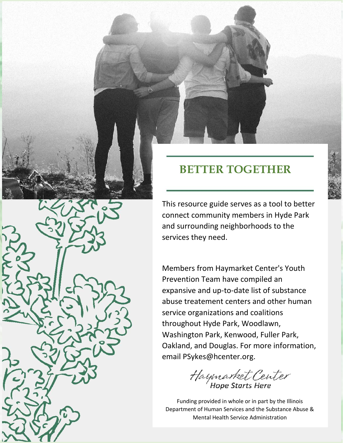

## **BETTER TOGETHER**

This resource guide serves as a tool to better connect community members in Hyde Park and surrounding neighborhoods to the services they need.

Members from Haymarket Center's Youth Prevention Team have compiled an expansive and up-to-date list of substance abuse treatement centers and other human service organizations and coalitions throughout Hyde Park, Woodlawn, Washington Park, Kenwood, Fuller Park, Oakland, and Douglas. For more information, email PSykes@hcenter.org.

Haymarket Center

**2 Department of Human Services and the Substance Abuse &** Funding provided in whole or in part by the Illinois Mental Health Service Administration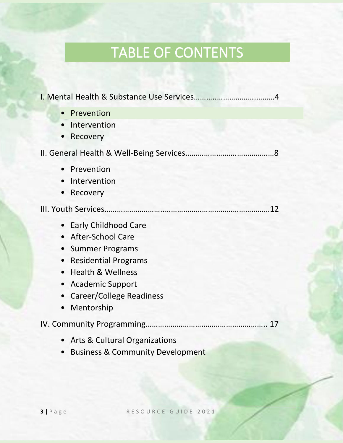## TABLE OF CONTENTS

| Prevention<br>$\bullet$                               |
|-------------------------------------------------------|
| Intervention                                          |
| Recovery<br>$\bullet$                                 |
|                                                       |
| Prevention<br>$\bullet$                               |
| Intervention<br>$\bullet$                             |
| Recovery<br>$\bullet$                                 |
|                                                       |
| <b>Early Childhood Care</b><br>$\bullet$              |
| • After-School Care                                   |
| <b>Summer Programs</b><br>$\bullet$                   |
| <b>Residential Programs</b><br>$\bullet$              |
| <b>Health &amp; Wellness</b><br>$\bullet$             |
| <b>Academic Support</b><br>$\bullet$                  |
| Career/College Readiness<br>$\bullet$                 |
| Mentorship<br>$\bullet$                               |
|                                                       |
| <b>Arts &amp; Cultural Organizations</b><br>$\bullet$ |
| <b>Business &amp; Community Development</b>           |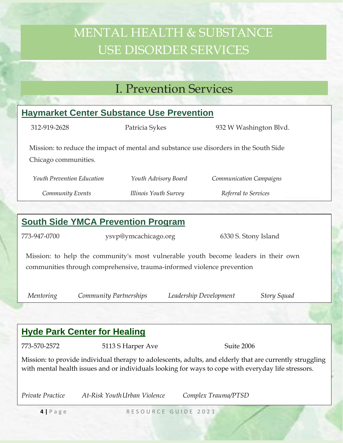## MENTAL HEALTH & SUBSTANCE USE DISORDER SERVICES

## I. Prevention Services

| <b>Haymarket Center Substance Use Prevention</b>                                                                                                                                                                |                                              |                        |                         |             |  |  |
|-----------------------------------------------------------------------------------------------------------------------------------------------------------------------------------------------------------------|----------------------------------------------|------------------------|-------------------------|-------------|--|--|
| 312-919-2628                                                                                                                                                                                                    | Patricia Sykes                               |                        | 932 W Washington Blvd.  |             |  |  |
| Mission: to reduce the impact of mental and substance use disorders in the South Side<br>Chicago communities.                                                                                                   |                                              |                        |                         |             |  |  |
| Youth Prevention Education                                                                                                                                                                                      |                                              | Youth Advisory Board   | Communication Campaigns |             |  |  |
| Community Events                                                                                                                                                                                                |                                              | Illinois Youth Survey  | Referral to Services    |             |  |  |
|                                                                                                                                                                                                                 |                                              |                        |                         |             |  |  |
|                                                                                                                                                                                                                 | <b>South Side YMCA Prevention Program</b>    |                        |                         |             |  |  |
| 773-947-0700                                                                                                                                                                                                    | ysvp@ymcachicago.org<br>6330 S. Stony Island |                        |                         |             |  |  |
| Mission: to help the community's most vulnerable youth become leaders in their own<br>communities through comprehensive, trauma-informed violence prevention                                                    |                                              |                        |                         |             |  |  |
| Mentoring                                                                                                                                                                                                       | Community Partnerships                       | Leadership Development |                         | Story Squad |  |  |
|                                                                                                                                                                                                                 |                                              |                        |                         |             |  |  |
| <b>Hyde Park Center for Healing</b>                                                                                                                                                                             |                                              |                        |                         |             |  |  |
| 773-570-2572                                                                                                                                                                                                    | 5113 S Harper Ave                            |                        | Suite 2006              |             |  |  |
| Mission: to provide individual therapy to adolescents, adults, and elderly that are currently struggling<br>with mental health issues and or individuals looking for ways to cope with everyday life stressors. |                                              |                        |                         |             |  |  |

*Private Practice At-Risk YouthUrban Violence Complex Trauma/PTSD*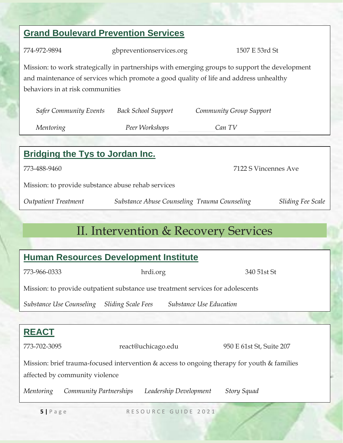## **5** | Page RESOURCE GUIDE 2021 **REACT** 773-702-3095 react@uchicago.edu 950 E 61st St, Suite 207 Mission: brief trauma-focused intervention & access to ongoing therapy for youth & families affected by community violence *Mentoring Community Partnerships Leadership Development Story Squad* **Grand Boulevard Prevention Services** 774-972-9894 gbpreventionservices.org 1507 E 53rd St Mission: to work strategically in partnerships with emerging groups to support the development and maintenance of services which promote a good quality of life and address unhealthy behaviors in at risk communities *Safer Community Events Back School Support Community Group Support Mentoring Peer Workshops Can TV* **Bridging the Tys to Jordan Inc.** 773-488-9460 7122 S Vincennes Ave Mission: to provide substance abuse rehab services *Outpatient Treatment Substance Abuse Counseling Trauma Counseling Sliding Fee Scale* II. Intervention & Recovery Services **Human Resources Development Institute** 773-966-0333 hrdi.org 340 51st St Mission: to provide outpatient substance use treatment services for adolescents *Substance Use Counseling Sliding Scale Fees Substance Use Education*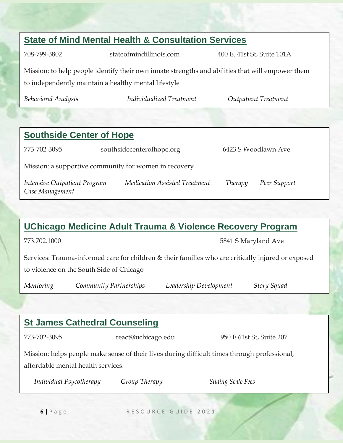## **State of Mind Mental Health & Consultation Services** 708-799-3802 stateofmindillinois.com 400 E. 41st St, Suite 101A Mission: to help people identify their own innate strengths and abilities that will empower them to independently maintain a healthy mental lifestyle *Behavioral Analysis Individualized Treatment Outpatient Treatment* **Southside Center of Hope** 773-702-3095 southsidecenterofhope.org 6423 S Woodlawn Ave Mission: a supportive community for women in recovery *Intensive Outpatient Program Medication Assisted Treatment Therapy Peer Support*

#### **UChicago Medicine Adult Trauma & Violence Recovery Program**

*Case Management*

Services: Trauma-informed care for children & their families who are critically injured or exposed to violence on the South Side of Chicago

*Mentoring Community Partnerships Leadership Development Story Squad*

#### **St James Cathedral Counseling**

773-702-3095 react@uchicago.edu 950 E 61st St, Suite 207

Mission: helps people make sense of their lives during difficult times through professional, affordable mental health services.

*Individual Psycotherapy Group Therapy Sliding Scale Fees*

**6** | Page RESOURCE GUIDE 2021

773.702.1000 5841 S Maryland Ave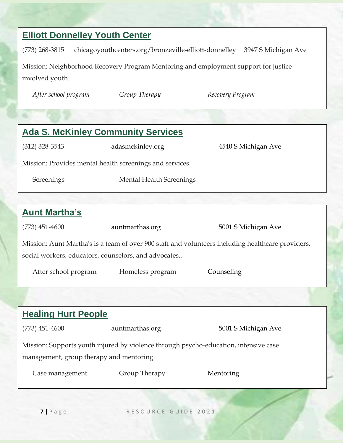#### **Elliott Donnelley Youth Center**

(773) 268-3815 chicagoyouthcenters.org/bronzeville-elliott-donnelley 3947 S Michigan Ave

Mission: Neighborhood Recovery Program Mentoring and employment support for justiceinvolved youth.

*After school program Group Therapy Recovery Program*

| <b>Ada S. McKinley Community Services</b>                                                                                                                 |                                                          |                     |  |  |  |
|-----------------------------------------------------------------------------------------------------------------------------------------------------------|----------------------------------------------------------|---------------------|--|--|--|
| $(312)$ 328-3543                                                                                                                                          | adasmckinley.org                                         | 4540 S Michigan Ave |  |  |  |
|                                                                                                                                                           | Mission: Provides mental health screenings and services. |                     |  |  |  |
| Screenings                                                                                                                                                | <b>Mental Health Screenings</b>                          |                     |  |  |  |
|                                                                                                                                                           |                                                          |                     |  |  |  |
| <b>Aunt Martha's</b>                                                                                                                                      |                                                          |                     |  |  |  |
| $(773)$ 451-4600                                                                                                                                          | auntmarthas.org                                          | 5001 S Michigan Ave |  |  |  |
| Mission: Aunt Martha's is a team of over 900 staff and volunteers including healthcare providers,<br>social workers, educators, counselors, and advocates |                                                          |                     |  |  |  |
| After school program                                                                                                                                      | Homeless program                                         | Counseling          |  |  |  |
|                                                                                                                                                           |                                                          |                     |  |  |  |
| <b>Healing Hurt People</b>                                                                                                                                |                                                          |                     |  |  |  |
| $(773)$ 451-4600                                                                                                                                          | auntmarthas.org                                          | 5001 S Michigan Ave |  |  |  |
| Mission: Supports youth injured by violence through psycho-education, intensive case                                                                      |                                                          |                     |  |  |  |
| management, group therapy and mentoring.                                                                                                                  |                                                          |                     |  |  |  |

**7 |** P a g e R E S O U R C E G U I D E 2 0 2 1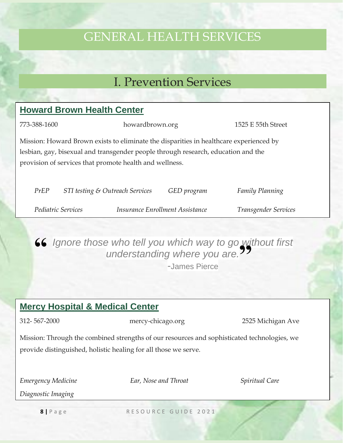## GENERAL HEALTH SERVICES

### I. Prevention Services

#### **Howard Brown Health Center**

773-388-1600 howardbrown.org 1525 E 55th Street Mission: Howard Brown exists to eliminate the disparities in healthcare experienced by lesbian, gay, bisexual and transgender people through research, education and the provision of services that promote health and wellness.

| PrEP |                           | STI testing & Outreach Services | GED program                     | <b>Family Planning</b> |
|------|---------------------------|---------------------------------|---------------------------------|------------------------|
|      | <i>Pediatric Services</i> |                                 | Insurance Enrollment Assistance | Transgender Services   |

**66** Ignore those who tell you which way to go without first understanding where you are. anderstanding where you are.<sup>99</sup>

-James Pierce

#### **Mercy Hospital & Medical Center**

312- 567-2000 mercy-chicago.org 2525 Michigan Ave

Mission: Through the combined strengths of our resources and sophisticated technologies, we provide distinguished, holistic healing for all those we serve.

*Emergency Medicine Ear, Nose and Throat Spiritual Care*

*Diagnostic Imaging*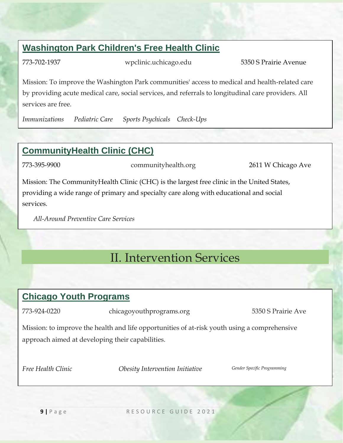#### **Washington Park Children's Free Health Clinic**

773-702-1937 wpclinic.uchicago.edu 5350 S Prairie Avenue

Mission: To improve the Washington Park communities' access to medical and health-related care by providing acute medical care, social services, and referrals to longitudinal care providers. All services are free.

*Immunizations Pediatric Care Sports Psychicals Check-Ups*

#### **CommunityHealth Clinic (CHC)**

773-395-9900 communityhealth.org 2611 W Chicago Ave

Mission: The CommunityHealth Clinic (CHC) is the largest free clinic in the United States, providing a wide range of primary and specialty care along with educational and social services.

*All-Around Preventive Care Services*

## II. Intervention Services

#### **Chicago Youth Programs**

773-924-0220 chicagoyouthprograms.org 5350 S Prairie Ave

Mission: to improve the health and life opportunities of at-risk youth using a comprehensive approach aimed at developing their capabilities.

*Free Health Clinic Obesity Intervention Initiative Gender Specific Programming*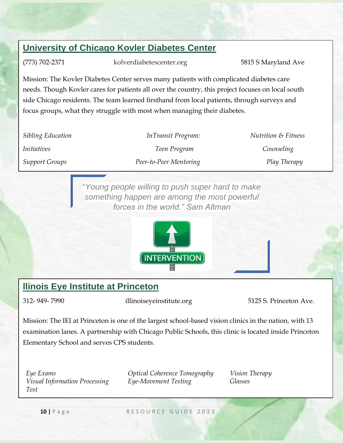#### **University of Chicago Kovler Diabetes Center**

(773) 702-2371 kolverdiabetescenter.org 5815 S Maryland Ave

Mission: The Kovler Diabetes Center serves many patients with complicated diabetes care needs. Though Kovler cares for patients all over the country, this project focuses on local south side Chicago residents. The team learned firsthand from local patients, through surveys and focus groups, what they struggle with most when managing their diabetes.

| Sibling Education     | InTransit Program:     | <b>Nutrition &amp; Fitness</b> |
|-----------------------|------------------------|--------------------------------|
| <i>Initiatives</i>    | Teen Program           | Counseling                     |
| <b>Support Groups</b> | Peer-to-Peer Mentoring | Play Therapy                   |

"*Young people willing to push super hard to make something happen are among the most powerful forces in the world." Sam Altman*



#### **llinois Eye Institute at Princeton**

312- 949- 7990 illinoiseyeinstitute.org 5125 S. Princeton Ave.

Mission: The IEI at Princeton is one of the largest school-based vision clinics in the nation, with 13 examination lanes. A partnership with Chicago Public Schools, this clinic is located inside Princeton Elementary School and serves CPS students.

*Visual Information Processing Test*

*Eye Exams Optical Coherence Tomography Vision Therapy Eye-Movement Testing Glasses*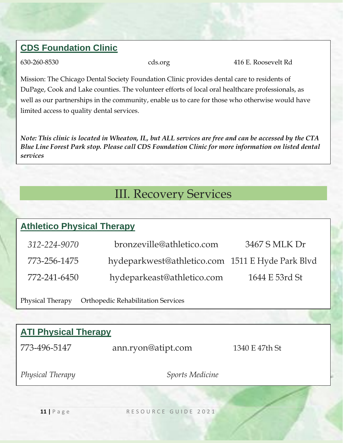#### **CDS Foundation Clinic**

630-260-8530 cds.org 416 E. Roosevelt Rd

Mission: The Chicago Dental Society Foundation Clinic provides dental care to residents of DuPage, Cook and Lake counties. The volunteer efforts of local oral healthcare professionals, as well as our partnerships in the community, enable us to care for those who otherwise would have limited access to quality dental services.

*Note: This clinic is located in Wheaton, IL, but ALL services are free and can be accessed by the CTA Blue Line Forest Park stop. Please call CDS Foundation Clinic for more information on listed dental services*

### III. Recovery Services

#### **Athletico Physical Therapy**

| 312-224-9070 | bronzeville@athletico.com                        | 3467 S MLK Dr  |
|--------------|--------------------------------------------------|----------------|
| 773-256-1475 | hydeparkwest@athletico.com 1511 E Hyde Park Blvd |                |
| 772-241-6450 | hydeparkeast@athletico.com                       | 1644 E 53rd St |

Physical Therapy Orthopedic Rehabilitation Services

## **ATI Physical Therapy**

| 773-496-5147     | ann.ryon@atipt.com     | 1340 E 47th St |
|------------------|------------------------|----------------|
| Physical Therapy | <b>Sports Medicine</b> |                |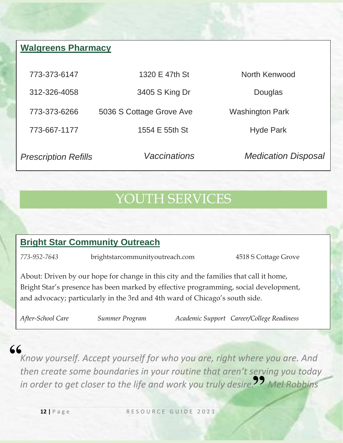#### **Walgreens Pharmacy**

| 773-373-6147                | 1320 E 47th St           | North Kenwood              |
|-----------------------------|--------------------------|----------------------------|
| 312-326-4058                | 3405 S King Dr           | Douglas                    |
| 773-373-6266                | 5036 S Cottage Grove Ave | <b>Washington Park</b>     |
| 773-667-1177                | 1554 E 55th St           | <b>Hyde Park</b>           |
| <b>Prescription Refills</b> | <b>Vaccinations</b>      | <b>Medication Disposal</b> |

## YOUTH SERVICES

#### **Bright Star Community Outreach**

*773-952-7643* brightstarcommunityoutreach.com 4518 S Cottage Grove

About: Driven by our hope for change in this city and the families that call it home, Bright Star's presence has been marked by effective programming, social development, and advocacy; particularly in the 3rd and 4th ward of Chicago's south side.

*After-School Care Summer Program Academic Support Career/College Readiness*

## **"**

*Know yourself. Accept yourself for who you are, right where you are. And then create some boundaries in your routine that aren't serving you today*  in order to get closer to the life and work you truly desire.<sup>99</sup> Mel Robbins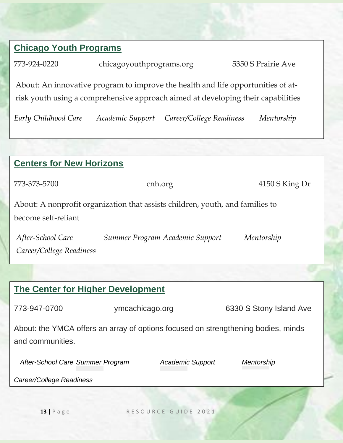#### **Chicago Youth Programs**

773-924-0220 chicagoyouthprograms.org 5350 S Prairie Ave

About: An innovative program to improve the health and life opportunities of atrisk youth using a comprehensive approach aimed at developing their capabilities

*Early Childhood Care Academic Support Career/College Readiness Mentorship*

| <b>Centers for New Horizons</b>                                                   |                 |                                 |                         |  |  |
|-----------------------------------------------------------------------------------|-----------------|---------------------------------|-------------------------|--|--|
| 773-373-5700                                                                      |                 | cnh.org                         | 4150 S King Dr          |  |  |
| About: A nonprofit organization that assists children, youth, and families to     |                 |                                 |                         |  |  |
| become self-reliant                                                               |                 |                                 |                         |  |  |
| After-School Care                                                                 |                 | Summer Program Academic Support | Mentorship              |  |  |
| Career/College Readiness                                                          |                 |                                 |                         |  |  |
|                                                                                   |                 |                                 |                         |  |  |
| <b>The Center for Higher Development</b>                                          |                 |                                 |                         |  |  |
| 773-947-0700                                                                      | ymcachicago.org |                                 | 6330 S Stony Island Ave |  |  |
| About: the YMCA offers an array of options focused on strengthening bodies, minds |                 |                                 |                         |  |  |
| and communities.                                                                  |                 |                                 |                         |  |  |
| After-School Care Summer Program                                                  |                 | <b>Academic Support</b>         | Mentorship              |  |  |
| Career/College Readiness                                                          |                 |                                 |                         |  |  |
|                                                                                   |                 |                                 |                         |  |  |
| $13$   Page                                                                       |                 | RESOURCE GUIDE 2021             |                         |  |  |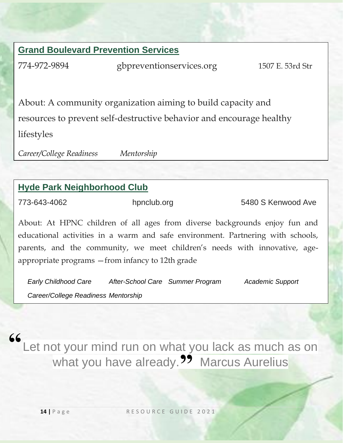#### **Grand Boulevard Prevention Services**

774-972-9894 gbpreventionservices.org 1507 E. 53rd Str

About: A community organization aiming to build capacity and resources to prevent self-destructive behavior and encourage healthy lifestyles

*Career/College Readiness Mentorship*

#### **Hyde Park Neighborhood Club**

773-643-4062 hpnclub.org 5480 S Kenwood Ave

About: At HPNC children of all ages from diverse backgrounds enjoy fun and educational activities in a warm and safe environment. Partnering with schools, parents, and the community, we meet children's needs with innovative, ageappropriate programs —from infancy to 12th grade

*Early Childhood Care After-School Care Summer Program Academic Support Career/College Readiness Mentorship*

Let not your mind run on what you lack as much as on what you have already.<sup>99</sup> Marcus Aurelius **"**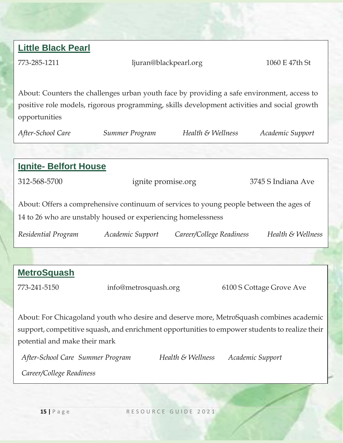| <b>Little Black Pearl</b>        |                                                                                                |                          |                  |                          |
|----------------------------------|------------------------------------------------------------------------------------------------|--------------------------|------------------|--------------------------|
| 773-285-1211                     | ljuran@blackpearl.org                                                                          |                          |                  | 1060 E 47th St           |
|                                  |                                                                                                |                          |                  |                          |
|                                  | About: Counters the challenges urban youth face by providing a safe environment, access to     |                          |                  |                          |
|                                  | positive role models, rigorous programming, skills development activities and social growth    |                          |                  |                          |
| opportunities                    |                                                                                                |                          |                  |                          |
| After-School Care                | Summer Program                                                                                 | Health & Wellness        |                  | Academic Support         |
|                                  |                                                                                                |                          |                  |                          |
| <b>Ignite- Belfort House</b>     |                                                                                                |                          |                  |                          |
| 312-568-5700                     | ignite promise.org                                                                             |                          |                  | 3745 S Indiana Ave       |
|                                  |                                                                                                |                          |                  |                          |
|                                  | About: Offers a comprehensive continuum of services to young people between the ages of        |                          |                  |                          |
|                                  | 14 to 26 who are unstably housed or experiencing homelessness                                  |                          |                  |                          |
| Residential Program              | Academic Support                                                                               | Career/College Readiness |                  | Health & Wellness        |
|                                  |                                                                                                |                          |                  |                          |
|                                  |                                                                                                |                          |                  |                          |
| <b>MetroSquash</b>               |                                                                                                |                          |                  |                          |
| 773-241-5150                     | info@metrosquash.org                                                                           |                          |                  | 6100 S Cottage Grove Ave |
|                                  |                                                                                                |                          |                  |                          |
|                                  | About: For Chicagoland youth who desire and deserve more, MetroSquash combines academic        |                          |                  |                          |
|                                  | support, competitive squash, and enrichment opportunities to empower students to realize their |                          |                  |                          |
| potential and make their mark    |                                                                                                |                          |                  |                          |
| After-School Care Summer Program |                                                                                                | Health & Wellness        | Academic Support |                          |
| Career/College Readiness         |                                                                                                |                          |                  |                          |
|                                  |                                                                                                |                          |                  |                          |
|                                  |                                                                                                |                          |                  |                          |
| $15$   Page                      |                                                                                                | RESOURCE GUIDE 2021      |                  |                          |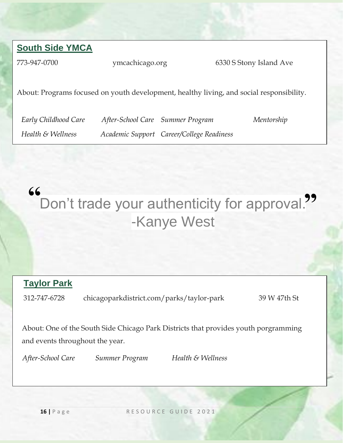#### **South Side YMCA**

773-947-0700 ymcachicago.org 6330 S Stony Island Ave

About: Programs focused on youth development, healthy living, and social responsibility.

*Early Childhood Care After-School Care Summer Program Mentorship*

*Health & Wellness Academic Support Career/College Readiness*

#### Don't trade your authenticity for approval. -Kanye West **" "**

#### **Taylor Park**

312-747-6728 chicagoparkdistrict.com/parks/taylor-park 39 W 47th St

About: One of the South Side Chicago Park Districts that provides youth porgramming and events throughout the year.

*After-School Care Summer Program Health & Wellness*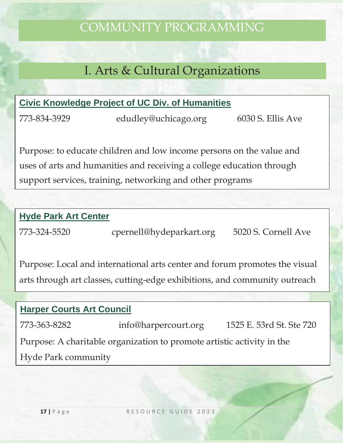## COMMUNITY PROGRAMMING

## I. Arts & Cultural Organizations

#### **Civic Knowledge Project of UC Div. of Humanities**

773-834-3929 edudley@uchicago.org 6030 S. Ellis Ave

Purpose: to educate children and low income persons on the value and uses of arts and humanities and receiving a college education through support services, training, networking and other programs

#### **Hyde Park Art Center**

773-324-5520 cpernell@hydeparkart.org 5020 S. Cornell Ave

Purpose: Local and international arts center and forum promotes the visual arts through art classes, cutting-edge exhibitions, and community outreach

## **Harper Courts Art Council** 773-363-8282 info@harpercourt.org 1525 E. 53rd St. Ste 720 Purpose: A charitable organization to promote artistic activity in the Hyde Park community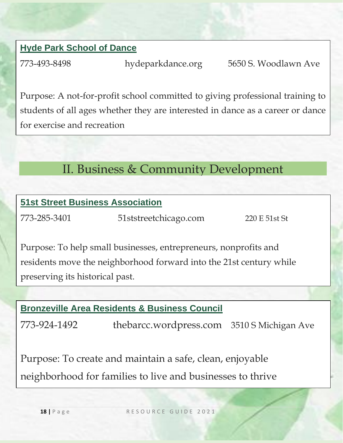#### **Hyde Park School of Dance**

773-493-8498 hydeparkdance.org 5650 S. Woodlawn Ave

Purpose: A not-for-profit school committed to giving professional training to students of all ages whether they are interested in dance as a career or dance for exercise and recreation

## II. Business & Community Development

## **51st Street Business Association**

773-285-3401 51ststreetchicago.com 220 E 51st St

Purpose: To help small businesses, entrepreneurs, nonprofits and residents move the neighborhood forward into the 21st century while preserving its historical past.

#### **Bronzeville Area Residents & Business Council**

773-924-1492 thebarcc.wordpress.com 3510 S Michigan Ave

Purpose: To create and maintain a safe, clean, enjoyable neighborhood for families to live and businesses to thrive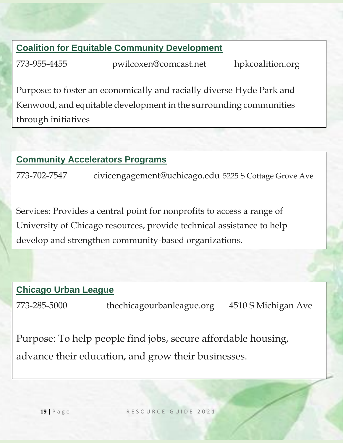#### **Coalition for Equitable Community Development**

773-955-4455 pwilcoxen@comcast.net hpkcoalition.org

Purpose: to foster an economically and racially diverse Hyde Park and Kenwood, and equitable development in the surrounding communities through initiatives

#### **Community Accelerators Programs**

773-702-7547 civicengagement@uchicago.edu 5225 S Cottage Grove Ave

Services: Provides a central point for nonprofits to access a range of University of Chicago resources, provide technical assistance to help develop and strengthen community-based organizations.

#### **Chicago Urban League**

773-285-5000 thechicagourbanleague.org 4510 S Michigan Ave

Purpose: To help people find jobs, secure affordable housing, advance their education, and grow their businesses.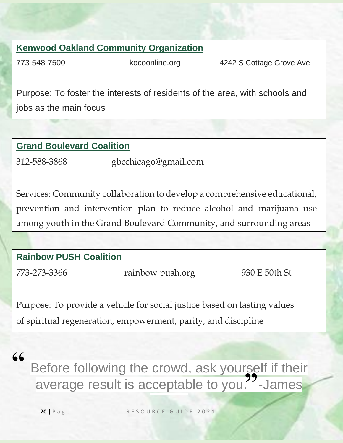#### **Kenwood Oakland Community Organization**

773-548-7500 kocoonline.org 4242 S Cottage Grove Ave

Purpose: To foster the interests of residents of the area, with schools and jobs as the main focus

#### **Grand Boulevard Coalition**

312-588-3868 gbcchicago@gmail.com

Services: Community collaboration to develop a comprehensive educational, prevention and intervention plan to reduce alcohol and marijuana use among youth in the Grand Boulevard Community, and surrounding areas

#### **Rainbow PUSH Coalition**

773-273-3366 rainbow push.org 930 E 50th St

Purpose: To provide a vehicle for social justice based on lasting values of spiritual regeneration, empowerment, parity, and discipline

### **"**

Before following the crowd, ask yourself if their average result is acceptable to you. James **"**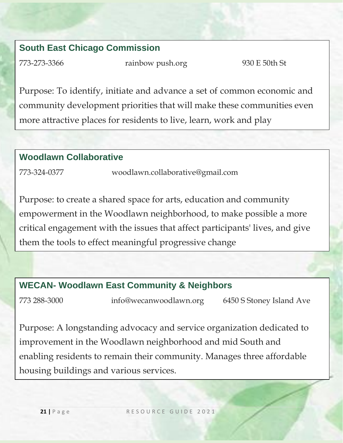#### **South East Chicago Commission**

773-273-3366 rainbow push.org 930 E 50th St

Purpose: To identify, initiate and advance a set of common economic and community development priorities that will make these communities even more attractive places for residents to live, learn, work and play

#### **Woodlawn Collaborative**

773-324-0377 woodlawn.collaborative@gmail.com

Purpose: to create a shared space for arts, education and community empowerment in the Woodlawn neighborhood, to make possible a more critical engagement with the issues that affect participants' lives, and give them the tools to effect meaningful progressive change

#### **WECAN- Woodlawn East Community & Neighbors**

773 288-3000 info@wecanwoodlawn.org 6450 S Stoney Island Ave

Purpose: A longstanding advocacy and service organization dedicated to improvement in the Woodlawn neighborhood and mid South and enabling residents to remain their community. Manages three affordable housing buildings and various services.